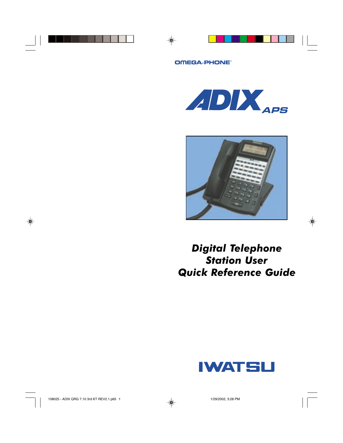#### OMEGA-PHONE





# *Digital Telephone Station User Quick Reference Guide*

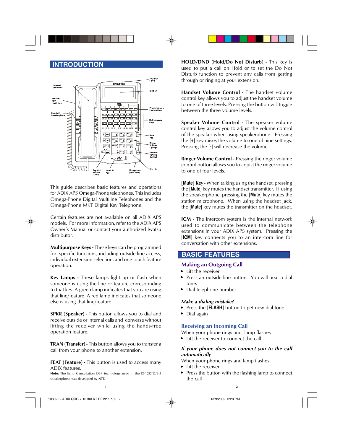

This guide describes basic features and operations for ADIX APS Omega-Phone telephones. This includes Omega-Phone Digital Multiline Telephones and the Omega-Phone MKT Digital Key Telephone.

Certain features are not available on all ADIX APS models. For more information, refer to the ADIX APS Owner's Manual or contact your authorized Iwatsu distributor.

**Multipurpose Keys -** These keys can be programmed for specific functions, including outside line access, individual extension selection, and one-touch feature operation.

**Key Lamps -** These lamps light up or flash when someone is using the line or feature corresponding to that key. A green lamp indicates that you are using that line/feature. A red lamp indicates that someone else is using that line/feature.

**SPKR (Speaker) -** This button allows you to dial and receive outside or internal calls and converse without lifting the receiver while using the hands-free operation feature.

**TRAN (Transfer) -** This button allows you to transfer a call from your phone to another extension.

**FEAT (Feature) -** This button is used to access many ADIX features.

**Note:** The Echo Cancellation DSP technology used in the IX-12KTD/S-3 speakerphone was developed by NTT.

**INTRODUCTION HOLD/DND** (Hold/Do Not Disturb) - This key is used to put a call on Hold or to set the Do Not Disturb function to prevent any calls from getting through or ringing at your extension.

> **Handset Volume Control -** The handset volume control key allows you to adjust the handset volume to one of three levels. Pressing the button will toggle between the three volume levels.

> **Speaker Volume Control -** The speaker volume control key allows you to adjust the volume control of the speaker when using speakerphone. Pressing the [**+**] key raises the volume to one of nine settings. Pressing the [**-**] will decrease the volume.

> **Ringer Volume Control - Pressing the ringer volume** control button allows you to adjust the ringer volume to one of four levels.

> **[Mute] Key -** When talking using the handset, pressing the [**Mute**] key mutes the handset transmitter. If using the speakerphone, pressing the [**Mute**] key mutes the station microphone. When using the headset jack, the [**Mute**] key mutes the transmitter on the headset.

> **ICM** - The intercom system is the internal network used to communicate between the telephone extensions in your ADIX APS system. Pressing the [**ICM**] key connects you to an intercom line for conversation with other extensions.

# **BASIC FEATURES**

#### **Making an Outgoing Call**

- **Lift the receiver**
- ▶ Press an outside line button. You will hear a dial tone.
- ► Dial telephone number

#### *Make a dialing mistake?*

- ▶ Press the [**FLASH**] button to get new dial tone
- $\triangleright$  Dial again

# **Receiving an Incoming Call**

When your phone rings and lamp flashes

► Lift the receiver to connect the call

#### *If your phone does not connect you to the call automatically*

When your phone rings and lamp flashes

- ► Lift the receiver
- $\triangleright$  Press the button with the flashing lamp to connect the call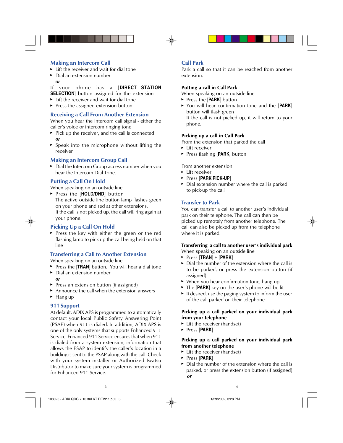# **Making an Intercom Call**

- $\blacktriangleright$  Lift the receiver and wait for dial tone
- ▶ Dial an extension number *or*

If your phone has a [**DIRECT STATION SELECTION**] button assigned for the extension

- $\blacktriangleright$  Lift the receiver and wait for dial tone
- $\blacktriangleright$  Press the assigned extension button

#### **Receiving a Call From Another Extension**

When you hear the intercom call signal - either the caller's voice or intercom ringing tone

- $\triangleright$  Pick up the receiver, and the call is connected *or*
- $\triangleright$  Speak into the microphone without lifting the receiver

#### **Making an Intercom Group Call**

▶ Dial the Intercom Group access number when you hear the Intercom Dial Tone.

#### **Putting a Call On Hold**

When speaking on an outside line

▶ Press the [HOLD/DND] button The active outside line button lamp flashes green on your phone and red at other extensions. If the call is not picked up, the call will ring again at your phone.

#### **Picking Up a Call On Hold**

Press the key with either the green or the red flashing lamp to pick up the call being held on that line

#### **Transferring a Call to Another Extension**

When speaking on an outside line

- Press the [**TRAN**] button. You will hear a dial tone
- ▶ Dial an extension number *or*
- $\blacktriangleright$  Press an extension button (if assigned)
- $\blacktriangleright$  Announce the call when the extension answers
- $\blacktriangleright$  Hang up

#### **911 Support**

At default, ADIX APS is programmed to automatically contact your local Public Safety Answering Point (PSAP) when 911 is dialed. In addition, ADIX APS is one of the only systems that supports Enhanced 911 Service. Enhanced 911 Service ensures that when 911 is dialed from a system extension, information that allows the PSAP to identify the caller's location in a building is sent to the PSAP along with the call. Check with your system installer or Authorized Iwatsu Distributor to make sure your system is programmed for Enhanced 911 Service.

# **Call Park**

Park a call so that it can be reached from another extension.

#### **Putting a call in Call Park**

When speaking on an outside line

- ► Press the [**PARK**] button
- You will hear confirmation tone and the [**PARK**] button will flash green If the call is not picked up, it will return to your phone.

#### **Picking up a call in Call Park**

From the extension that parked the call

- $\blacktriangleright$  Lift receiver
- ► Press flashing [**PARK**] button

From another extension

- $\blacktriangleright$  Lift receiver
- Press [**PARK PICK-UP**]
- ▶ Dial extension number where the call is parked to pick-up the call

#### **Transfer to Park**

You can transfer a call to another user's individual park on their telephone. The call can then be picked up remotely from another telephone. The call can also be picked up from the telephone where it is parked.

#### **Transferring a call to another user's individual park**

When speaking on an outside line

- Press [**TRAN**] + [**PARK**]
- $\triangleright$  Dial the number of the extension where the call is to be parked, or press the extension button (if assigned)
- ► When you hear confirmation tone, hang up
- ▶ The [PARK] key on the user's phone will be lit
- $\blacktriangleright$  If desired, use the paging system to inform the user of the call parked on their telephone

#### **Picking up a call parked on your individual park from your telephone**

- $\blacktriangleright$  Lift the receiver (handset)
- Press [**PARK**]

#### **Picking up a call parked on your individual park from another telephone**

- ► Lift the receiver (handset)
- Press [**PARK**]
- Dial the number of the extension where the call is parked, or press the extension button (if assigned) *or*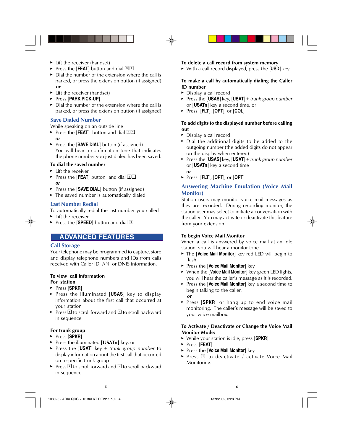- $\blacktriangleright$  Lift the receiver (handset)
- ▶ Press the [**FEAT**] button and dial 34
- $\triangleright$  Dial the number of the extension where the call is parked, or press the extension button (if assigned)  *or*
- $\blacktriangleright$  Lift the receiver (handset)
- Press [**PARK PICK-UP**]
- $\triangleright$  Dial the number of the extension where the call is parked, or press the extension button (if assigned)

#### **Save Dialed Number**

While speaking on an outside line

- Press the [FEAT] button and dial  $2\overline{1}$ *or*
- ▶ Press the [**SAVE DIAL**] button (if assigned) You will hear a confirmation tone that indicates the phone number you just dialed has been saved.

#### **To dial the saved number**

- $\blacktriangleright$  Lift the receiver
- **Press the [FEAT**] button and dial  $2\overline{1}$ *or*
- ▶ Press the [SAVE DIAL] button (if assigned)
- The saved number is automatically dialed

### **Last Number Redial**

To automatically redial the last number you called

- $\blacktriangleright$  Lift the receiver
- Press the **[SPEED**] button and dial  $\mathbb{F}$

# **ADVANCED FEATURES**

#### **Call Storage**

Your telephone may be programmed to capture, store and display telephone numbers and IDs from calls received with Caller ID, ANI or DNIS information.

#### **To view call information**

#### **For station**

- Press [**SPKR**]
- Press the illuminated [**USAS**] key to display information about the first call that occurred at your station
- Press  $\mathbb{F}$  to scroll forward and  $\mathbb{F}$  to scroll backward in sequence

#### **For trunk group**

- Press [**SPKR**]
- ▶ Press the illuminated **[USATn]** key, or
- Press the [**USAT**] key + *trunk group number* to display information about the first call that occurred on a specific trunk group
- Press  $\equiv$  to scroll forward and  $\equiv$  to scroll backward in sequence

# **To delete a call record from system memory**

With a call record displayed, press the [**USD**] key

#### **To make a call by automatically dialing the Caller ID number**

- ▶ Display a call record
- Press the [**USAS**] key, [**USAT**] + *trunk group number* or [**USATn**] key a second time, or
- Press [**FLT**], [**OPT**], or [**COL**]

#### **To add digits to the displayed number before calling out**

- ▶ Display a call record
- ▶ Dial the additional digits to be added to the outgoing number (the added digits do not appear on the display when entered)
- Press the [**USAS**] key, [**USAT**] + *trunk group number* or [**USATn**] key a second time *or*
- Press [**FLT**], [**OPT**], or [**OPT**]

# **Answering Machine Emulation (Voice Mail Monitor)**

Station users may monitor voice mail messages as they are recorded. During recording monitor, the station user may select to initiate a conversation with the caller. You may activate or deactivate this feature from your extension.

#### **To begin Voice Mail Monitor**

When a call is answered by voice mail at an idle station, you will hear a monitor tone.

- The [**Voice Mail Monitor**] key red LED will begin to flash
- Press the [**Voice Mail Monitor**] key
- When the [**Voice Mail Monitor**] key green LED lights, you will hear the caller's message as it is recorded.
- **Press the [Voice Mail Monitor**] key a second time to begin talking to the caller.  *or*
- **Press [SPKR]** or hang up to end voice mail monitoring. The caller's message will be saved to your voice mailbox.

#### **To Activate / Deactivate or Change the Voice Mail Monitor Mode:**

- While your station is idle, press [**SPKR**]
- Press [**FEAT**]
- Press the [**Voice Mail Monitor**] key
- Press  $\mathbb{I}$  to deactivate / activate Voice Mail Monitoring.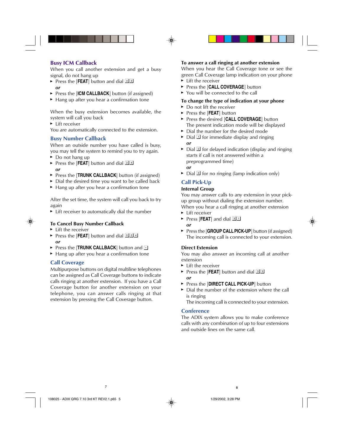# **Busy ICM Callback**

When you call another extension and get a busy signal, do not hang up

- Press the [**FEAT**] button and dial 43 *or*
- ▶ Press the [ICM CALLBACK] button (if assigned)
- $\blacktriangleright$  Hang up after you hear a confirmation tone

When the busy extension becomes available, the system will call you back

**Lift receiver** 

You are automatically connected to the extension.

# **Busy Number Callback**

When an outside number you have called is busy, you may tell the system to remind you to try again.

- ▶ Do not hang up
- Press the [FEAT] button and dial 24 *or*
- ▶ Press the [**TRUNK CALLBACK**] button (if assigned)
- $\triangleright$  Dial the desired time you want to be called back
- $\blacktriangleright$  Hang up after you hear a confirmation tone

After the set time, the system will call you back to try again

► Lift receiver to automatically dial the number

# **To Cancel Busy Number Callback**

- $\blacktriangleright$  Lift the receiver
- Press the [FEAT] button and dial **D24** *or*
- Press the **[TRUNK CALLBACK**] button and **E**
- ▶ Hang up after you hear a confirmation tone

# **Call Coverage**

Multipurpose buttons on digital multiline telephones can be assigned as Call Coverage buttons to indicate calls ringing at another extension. If you have a Call Coverage button for another extension on your telephone, you can answer calls ringing at that extension by pressing the Call Coverage button.

# **To answer a call ringing at another extension**

When you hear the Call Coverage tone or see the green Call Coverage lamp indication on your phone

- ► Lift the receiver
- ▶ Press the [CALL COVERAGE] button
- ▶ You will be connected to the call

# **To change the type of indication at your phone**

- ► Do not lift the receiver
- ► Press the [**FEAT**] button
- **Press the desired [CALL COVERAGE]** button The present indication mode will be displayed
- $\triangleright$  Dial the number for the desired mode
- $\triangleright$  Dial  $\Box$  for immediate display and ringing *or*
- $\triangleright$  Dial  $\mathbb{Z}$  for delayed indication (display and ringing starts if call is not answered within a preprogrammed time) *or*
- $\triangleright$  Dial  $\boxed{3}$  for no ringing (lamp indication only)

# **Call Pick-Up**

# **Internal Group**

You may answer calls to any extension in your pickup group without dialing the extension number. When you hear a call ringing at another extension

- ► Lift receiver
- **Press [FEAT**] and dial  $\boxed{3}$
- *or*
- ► Press the [**GROUP CALL PICK-UP**] button (if assigned) The incoming call is connected to your extension.

#### **Direct Extension**

You may also answer an incoming call at another extension

- ► Lift the receiver
- ▶ Press the [**FEAT**] button and dial 33 *or*
- **Press the [DIRECT CALL PICK-UP]** button
- $\triangleright$  Dial the number of the extension where the call is ringing

The incoming call is connected to your extension.

# **Conference**

The ADIX system allows you to make conference calls with any combination of up to four extensions and outside lines on the same call.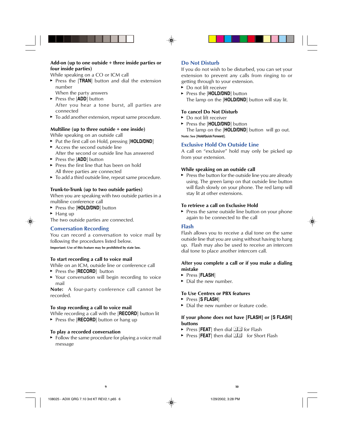#### **Add-on (up to one outside + three inside parties or four inside parties)**

While speaking on a CO or ICM call

- **Press the [TRAN]** button and dial the extension number
- When the party answers
- ► Press the [**ADD**] button After you hear a tone burst, all parties are connected
- $\blacktriangleright$  To add another extension, repeat same procedure.

#### **Multiline (up to three outside + one inside)**

While speaking on an outside call

- Put the first call on Hold, pressing [HOLD/DND]
- $\blacktriangleright$  Access the second outside line After the second or outside line has answered
- ► Press the [**ADD**] button
- $\blacktriangleright$  Press the first line that has been on hold All three parties are connected
- $\blacktriangleright$  To add a third outside line, repeat same procedure.

#### **Trunk-to-Trunk (up to two outside parties)**

When you are speaking with two outside parties in a multiline conference call

- ▶ Press the [HOLD/DND] button
- $\blacktriangleright$  Hang up

The two outside parties are connected.

#### **Conversation Recording**

You can record a conversation to voice mail by following the procedures listed below.

**Important: Use of this feature may be prohibited by state law.**

#### **To start recording a call to voice mail**

While on an ICM, outside line or conference call

- ▶ Press the [**RECORD**] button
- ▶ Your conversation will begin recording to voice mail

**Note:** A four-party conference call cannot be recorded.

#### **To stop recording a call to voice mail**

While recording a call with the [**RECORD**] button lit

**Press the [RECORD**] button or hang up

#### **To play a recorded conversation**

 $\blacktriangleright$  Follow the same procedure for playing a voice mail message

### **Do Not Disturb**

If you do not wish to be disturbed, you can set your extension to prevent any calls from ringing to or getting through to your extension.

- ▶ Do not lift receiver
- ▶ Press the [HOLD/DND] button The lamp on the [**HOLD/DND**] button will stay lit.

#### **To cancel Do Not Disturb**

- ▶ Do not lift receiver
- ▶ Press the [HOLD/DND] button

The lamp on the [**HOLD/DND**] button will go out. **Note: See [Hold/Quick Forward].**

#### **Exclusive Hold On Outside Line**

A call on "exclusive" hold may only be picked up from your extension.

#### **While speaking on an outside call**

 $\blacktriangleright$  Press the button for the outside line you are already using. The green lamp on that outside line button will flash slowly on your phone. The red lamp will stay lit at other extensions.

#### **To retrieve a call on Exclusive Hold**

Press the same outside line button on your phone again to be connected to the call

#### **Flash**

Flash allows you to receive a dial tone on the same outside line that you are using without having to hang up. Flash may also be used to receive an intercom dial tone to place another intercom call.

#### **After you complete a call or if you make a dialing mistake**

- Press [**FLASH**]
- $\blacktriangleright$  Dial the new number.

#### **To Use Centrex or PBX features**

- Press [**S FLASH**]
- Dial the new number or feature code.

#### **If your phone does not have [FLASH] or [S FLASH] buttons**

- Press [FEAT] then dial  $\Pi$  for Flash
- ▶ Press [FEAT] then dial **12** for Short Flash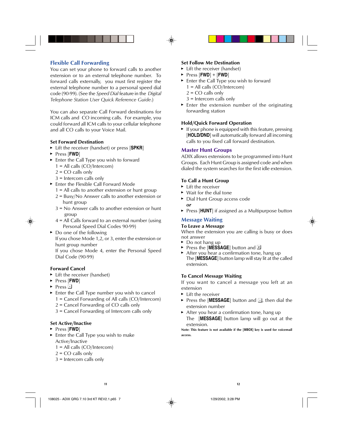# **Flexible Call Forwarding**

You can set your phone to forward calls to another extension or to an external telephone number. To forward calls externally, you must first register the external telephone number to a personal speed dial code (90-99). (See the *Speed Dial* feature in the *Digital Telephone Station User Quick Reference Guide*.)

You can also separate Call Forward destinations for ICM calls and CO incoming calls. For example, you could forward all ICM calls to your cellular telephone and all CO calls to your Voice Mail.

#### **Set Forward Destination**

- Lift the receiver (handset) or press [**SPKR**]
- Press [**FWD**]
- Enter the Call Type you wish to forward
	- 1 = All calls (CO/Intercom)
	- $2 = CO$  calls only
	- 3 = Intercom calls only
- **Enter the Flexible Call Forward Mode** 
	- 1 = All calls to another extension or hunt group
	- 2 = Busy/No Answer calls to another extension or hunt group
	- 3 = No Answer calls to another extension or hunt group
	- 4 = All Calls forward to an external number (using Personal Speed Dial Codes 90-99)
- ► Do one of the following

If you chose Mode 1,2, or 3, enter the extension or hunt group number

If you chose Mode 4, enter the Personal Speed Dial Code (90-99)

#### **Forward Cancel**

- $\blacktriangleright$  Lift the receiver (handset)
- Press [**FWD**]
- $\triangleright$  Press  $\Box$
- Enter the Call Type number you wish to cancel 1 = Cancel Forwarding of All calls (CO/Intercom)
	-
	- 2 = Cancel Forwarding of CO calls only
	- 3 = Cancel Forwarding of Intercom calls only

#### **Set Active/Inactive**

- Press [**FWD**]
- **Enter the Call Type you wish to make** Active/Inactive
	- 1 = All calls (CO/Intercom)
	- $2 = CO$  calls only
	- 3 = Intercom calls only

#### **Set Follow Me Destination**

- ► Lift the receiver (handset)
- $\triangleright$  Press  $[FWD] + [FWD]$
- ► Enter the Call Type you wish to forward
	- 1 = All calls (CO/Intercom)
	- $2 = CO$  calls only
	- 3 = Intercom calls only
- $\blacktriangleright$  Enter the extension number of the originating forwarding station

#### **Hold/Quick Forward Operation**

 $\blacktriangleright$  If your phone is equipped with this feature, pressing [HOLD/DND] will automatically forward all incoming calls to you fixed call forward destination.

#### **Master Hunt Groups**

ADIX allows extensions to be programmed into Hunt Groups. Each Hunt Group is assigned code and when dialed the system searches for the first idle extension.

#### **To Call a Hunt Group**

- **Lift the receiver**
- ► Wait for the dial tone
- Dial Hunt Group access code *or*
- **Press [HUNT**] if assigned as a Multipurpose button

#### **Message Waiting**

#### **To Leave a Message**

When the extension you are calling is busy or does not answer

- ► Do not hang up
- ► Press the [MESSAGE] button and **E**
- After you hear a confirmation tone, hang up The [**MESSAGE**] button lamp will stay lit at the called extension.

#### **To Cancel Message Waiting**

If you want to cancel a message you left at an extension

- ► Lift the receiver
- Press the [MESSAGE] button and  $\overline{A}$ , then dial the extension number
- After you hear a confirmation tone, hang up The [**MESSAGE**] button lamp will go out at the extension.

**Note: This feature is not available if the [MBOX] key is used for voicemail access.**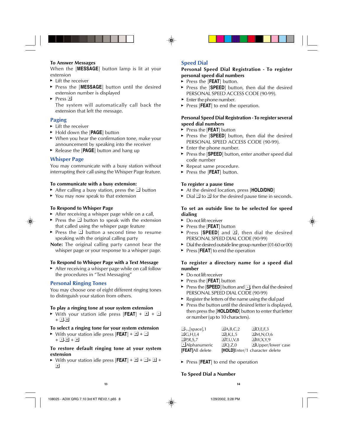#### **To Answer Messages**

When the [**MESSAGE**] button lamp is lit at your extension

- $\blacktriangleright$  Lift the receiver
- Press the [**MESSAGE**] button until the desired extension number is displayed
- $\triangleright$  Press  $\boxed{\text{\texttt{#}}}$

The system will automatically call back the extension that left the message.

# **Paging**

- ► Lift the receiver
- ► Hold down the [PAGE] button
- When you hear the confirmation tone, make your announcement by speaking into the receiver
- ► Release the [PAGE] button and hang up

### **Whisper Page**

You may communicate with a busy station without interrupting their call using the Whisper Page feature.

#### **To communicate with a busy extension:**

- After calling a busy station, press the  $\Box$  button
- ▶ You may now speak to that extension

#### **To Respond to Whisper Page**

- After receiving a whisper page while on a call,
- Press the  $\Box$  button to speak with the extension that called using the whisper page feature
- Press the  $\Box$  button a second time to resume speaking with the original calling party

**Note:** The original calling party cannot hear the whisper page or your response to a whisper page.

#### **To Respond to Whisper Page with a Text Message**

 $\triangleright$  After receiving a whisper page while on call follow the procedures in "Text Messaging"

#### **Personal Ringing Tones**

You may choose one of eight different ringing tones to distinguish your station from others.

#### **To play a ringing tone at your system extension**

 $\triangleright$  With your station idle press  $[FEAT] + \square + \square$  $+ \Box -$ 8

#### **To select a ringing tone for your system extension**

 $\triangleright$  With your station idle press  $[FEAT] + 1 + \square$  $+ 1.8 + 4$ 

#### **To restore default ringing tone at your system extension**

 $\triangleright$  With your station idle press  $[FEAT] + \triangleright \square + \square + \square +$  $\sqrt{t}$ 

# **Speed Dial**

#### **Personal Speed Dial Registration - To register personal speed dial numbers**

- Press the [FEAT] button.
- Press the [SPEED] button, then dial the desired PERSONAL SPEED ACCESS CODE (90-99).
- $\blacktriangleright$  Enter the phone number.
- **Press [FEAT**] to end the operation.

#### **Personal Speed Dial Registration - To register several speed dial numbers**

- ► Press the [**FEAT**] button
- Press the [**SPEED**] button, then dial the desired PERSONAL SPEED ACCESS CODE (90-99).
- $\blacktriangleright$  Enter the phone number.
- ► Press the [SPEED] button, enter another speed dial code number
- ▶ Repeat same procedure.
- ▶ Press the [**FEAT**] button.

#### **To register a pause time**

- At the desired location, press [**HOLD/DND**]
- $\triangleright$  Dial  $\exists$  to  $\exists$  for the desired pause time in seconds.

#### **To set an outside line to be selected for speed dialing**

- ▶ Do not lift receiver
- ► Press the [**FEAT**] button
- Press [SPEED] and  $\equiv$  then dial the desired PERSONAL SPEED DIAL CODE (90-99)
- $\triangleright$  Dial the desired outside line group number (01-60 or 00)
- **Press [FEAT**] to end the operation

#### **To register a directory name for a speed dial number**

- ▶ Do not lift receiver
- ► Press the [**FEAT**] button
- Press the [**SPEED**] button and  $\lceil \cdot \rceil$ , then dial the desired PERSONAL SPEED DIAL CODE (90-99)
- $\blacktriangleright$  Register the letters of the name using the dial pad
- $\blacktriangleright$  Press the button until the desired letter is displayed, then press the [**HOLD/DND**] button to enter that letter or number (up to 10 characters).

| $\Box$ -,., [space], 1 | $\Box$ A,B,C,2       | D.E.F.3                        |
|------------------------|----------------------|--------------------------------|
| $\Box$ G,H,I,4         | 5J,K,L,5             | M, N, O, 6                     |
| $\Box$ P,R,S,7         | I <sub>1</sub> U.V.8 | $\Box$ W.X.Y.9                 |
| Alphanumeric           | $\Box$ O.Z.O         | <b>EUpper/lower case</b>       |
| [FEAT]All delete       |                      | [HOLD]Enter/1 character delete |

▶ Press [**FEAT**] to end the operation

#### **To Speed Dial a Number**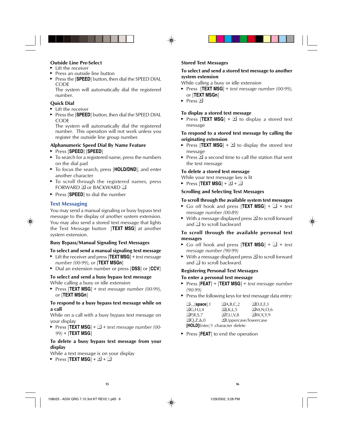#### **Outside Line Pre-Select**

- $\blacktriangleright$  Lift the receiver
- $\blacktriangleright$  Press an outside line button
- **Press the [SPEED**] button, then dial the SPEED DIAL **CODE**

The system will automatically dial the registered number.

# **Quick Dial**

- $\blacktriangleright$  Lift the receiver
- Press the [**SPEED**] button, then dial the SPEED DIAL CODE

The system will automatically dial the registered number. This operation will not work unless you register the outside line group number.

### **Alphanumeric Speed Dial By Name Feature**

- Press [**SPEED**] [**SPEED**]
- $\blacktriangleright$  To search for a registered name, press the numbers on the dial pad
- To focus the search, press [**HOLD/DND**], and enter another character
- $\triangleright$  To scroll through the registered names, press FORWARD  $\overline{F}$  or BACKWARD  $\overline{F}$
- ▶ Press [**SPEED**] to dial the number

# **Text Messaging**

You may send a manual signaling or busy bypass text message to the display of another system extension. You may also send a stored text message that lights the Text Message button [**TEXT MSG**] at another system extension.

#### **Busy Bypass/Manual Signaling Text Messages**

#### **To select and send a manual signaling text message**

- Lift the receiver and press [**TEXT MSG**] + *text message number (00-99)*, or [**TEXT MSGn**]
- Dial an extension number or press [**DSS**] or [**CCV**]

#### **To select and send a busy bypass text message**

While calling a busy or idle extension

 Press [**TEXT MSG**] + *text message number (00-99)*, or [**TEXT MSGn**]

#### **To respond to a busy bypass text message while on a call**

While on a call with a busy bypass text message on your display

Press  $[TEXT MSG] + 1 + text$  message number (00-*99)* + [**TEXT MSG**]

# **To delete a busy bypass text message from your display**

While a text message is on your display

Press  $[TEXT MSG] + 4 + 1$ 

# **Stored Text Messages**

# **To select and send a stored text message to another system extension**

While calling a busy or idle extension

- Press [**TEXT MSG**] + *text message number (00-99)*, or [**TEXT MSGn**]
- $\blacktriangleright$  Press  $\boxed{\#}$

# **To display a stored text message**

Press [**TEXT MSG**] +  $\overline{F}$  to display a stored text message

#### **To respond to a stored text message by calling the originating extension**

- Press [**TEXT MSG**] +  $\overline{F}$  to display the stored text message
- Press  $\overline{f}$  a second time to call the station that sent the text message

# **To delete a stored text message**

While your text message key is lit

Press  $[TEXT MSG] + # + 1$ 

# **Scrolling and Selecting Text Messages**

# **To scroll through the available system text messages**

- Go off hook and press [**TEXT MSG**] +  $\boxed{2}$  + *text message number (00-89)*
- $\triangleright$  With a message displayed press  $\blacksquare$  to scroll forward and  $\Box$  to scroll backward

### **To scroll through the available personal text messages**

- Go off hook and press [**TEXT MSG**] +  $\boxed{2}$  + *text message number (90-99)*
- $\triangleright$  With a message displayed press  $\blacksquare$  to scroll forward and  $\Box$  to scroll backward.

#### **Registering Personal Text Messages To enter a personal text message**

- Press [**FEAT**] + [**TEXT MSG**] + *text message number (90-99)*
- $\blacktriangleright$  Press the following keys for text message data entry:

| $\Box$ - <sub><math>\ldots</math></sub> [space], 1 | $\mathbb{Z}$ A,B,C,2           | D.E.F.3        |
|----------------------------------------------------|--------------------------------|----------------|
| $\overline{4}$ G,H,I,4                             | 5J,K,L,5                       | M, N, O, 6     |
| $\Box$ P,R,S,7                                     | I <sub>1</sub> U.V.8           | $\Box$ W,X,Y,9 |
| $\Box$ O,Z,&,O                                     | EUppercase/lowercase           |                |
|                                                    | [HOLD]Enter/1 character delete |                |

▶ Press [**FEAT**] to end the operation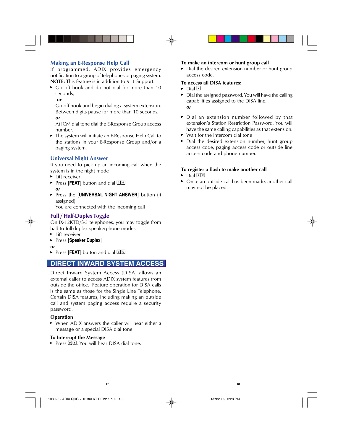# **Making an E-Response Help Call**

If programmed, ADIX provides emergency notification to a group of telephones or paging system. **NOTE:** This feature is in addition to 911 Support.

 Go off hook and do not dial for more than 10 seconds,

#### *or*

Go off hook and begin dialing a system extension. Between digits pause for more than 10 seconds, *or*

At ICM dial tone dial the E-Response Group access number.

▶ The system will initiate an E-Response Help Call to the stations in your E-Response Group and/or a paging system.

#### **Universal Night Answer**

If you need to pick up an incoming call when the system is in the night mode

- ► Lift receiver
- **► Press [FEAT**] button and dial **B** *or*
- **Press the [UNIVERSAL NIGHT ANSWER]** button (if assigned)

You are connected with the incoming call

# **Full / Half-Duplex Toggle**

On IX-12KTD/S-3 telephones, you may toggle from half to full-duplex speakerphone modes

- ► Lift receiver
- Press [**Speaker Duplex**]
- *or*
- **Press [FEAT**] button and dial **66**

# **DIRECT INWARD SYSTEM ACCESS**

Direct Inward System Access (DISA) allows an external caller to access ADIX system features from outside the office. Feature operation for DISA calls is the same as those for the Single Line Telephone. Certain DISA features, including making an outside call and system paging access require a security password.

#### **Operation**

 When ADIX answers the caller will hear either a message or a special DISA dial tone.

#### **To Interrupt the Message**

Press  $\mathbb{F}$  You will hear DISA dial tone.

#### **To make an intercom or hunt group call**

Dial the desired extension number or hunt group access code.

#### **To access all DISA features:**

- $\triangleright$  Dial  $\Box$
- $\triangleright$  Dial the assigned password. You will have the calling capabilities assigned to the DISA line. *or*
- Dial an extension number followed by that extension's Station Restriction Password. You will have the same calling capabilities as that extension.
- ► Wait for the intercom dial tone
- $\triangleright$  Dial the desired extension number, hunt group access code, paging access code or outside line access code and phone number.

#### **To register a flash to make another call**

- $\triangleright$  Dial  $\mathbb{F}$   $\mathbb{F}$
- Once an outside call has been made, another call may not be placed.